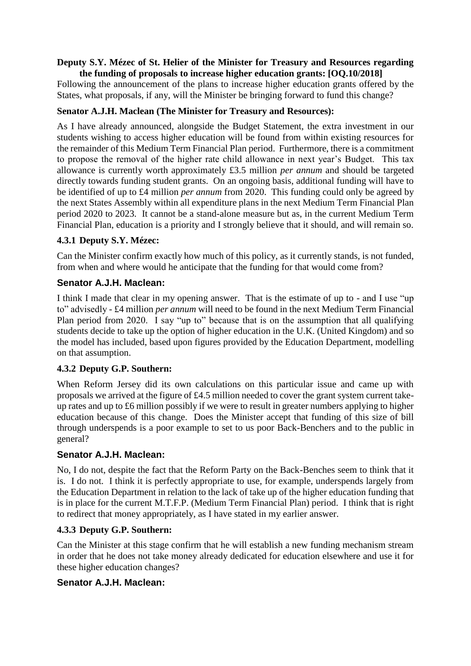#### **Deputy S.Y. Mézec of St. Helier of the Minister for Treasury and Resources regarding the funding of proposals to increase higher education grants: [OQ.10/2018]**

Following the announcement of the plans to increase higher education grants offered by the States, what proposals, if any, will the Minister be bringing forward to fund this change?

#### **Senator A.J.H. Maclean (The Minister for Treasury and Resources):**

As I have already announced, alongside the Budget Statement, the extra investment in our students wishing to access higher education will be found from within existing resources for the remainder of this Medium Term Financial Plan period. Furthermore, there is a commitment to propose the removal of the higher rate child allowance in next year's Budget. This tax allowance is currently worth approximately £3.5 million *per annum* and should be targeted directly towards funding student grants. On an ongoing basis, additional funding will have to be identified of up to £4 million *per annum* from 2020. This funding could only be agreed by the next States Assembly within all expenditure plans in the next Medium Term Financial Plan period 2020 to 2023. It cannot be a stand-alone measure but as, in the current Medium Term Financial Plan, education is a priority and I strongly believe that it should, and will remain so.

#### **4.3.1 Deputy S.Y. Mézec:**

Can the Minister confirm exactly how much of this policy, as it currently stands, is not funded, from when and where would he anticipate that the funding for that would come from?

#### **Senator A.J.H. Maclean:**

I think I made that clear in my opening answer. That is the estimate of up to - and I use "up to" advisedly - £4 million *per annum* will need to be found in the next Medium Term Financial Plan period from 2020. I say "up to" because that is on the assumption that all qualifying students decide to take up the option of higher education in the U.K. (United Kingdom) and so the model has included, based upon figures provided by the Education Department, modelling on that assumption.

#### **4.3.2 Deputy G.P. Southern:**

When Reform Jersey did its own calculations on this particular issue and came up with proposals we arrived at the figure of £4.5 million needed to cover the grant system current takeup rates and up to £6 million possibly if we were to result in greater numbers applying to higher education because of this change. Does the Minister accept that funding of this size of bill through underspends is a poor example to set to us poor Back-Benchers and to the public in general?

#### **Senator A.J.H. Maclean:**

No, I do not, despite the fact that the Reform Party on the Back-Benches seem to think that it is. I do not. I think it is perfectly appropriate to use, for example, underspends largely from the Education Department in relation to the lack of take up of the higher education funding that is in place for the current M.T.F.P. (Medium Term Financial Plan) period. I think that is right to redirect that money appropriately, as I have stated in my earlier answer.

#### **4.3.3 Deputy G.P. Southern:**

Can the Minister at this stage confirm that he will establish a new funding mechanism stream in order that he does not take money already dedicated for education elsewhere and use it for these higher education changes?

#### **Senator A.J.H. Maclean:**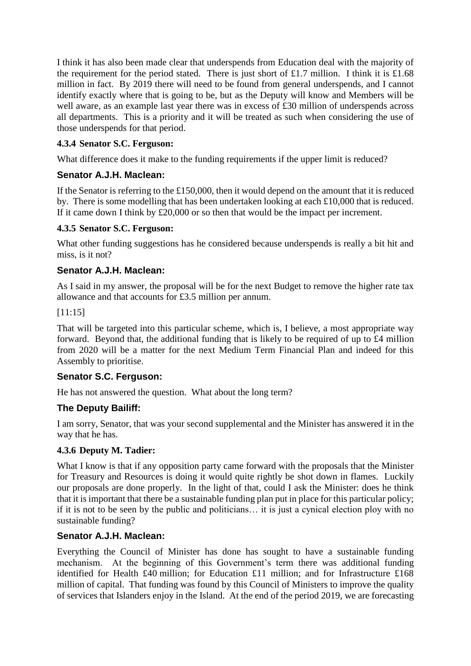I think it has also been made clear that underspends from Education deal with the majority of the requirement for the period stated. There is just short of £1.7 million. I think it is £1.68 million in fact. By 2019 there will need to be found from general underspends, and I cannot identify exactly where that is going to be, but as the Deputy will know and Members will be well aware, as an example last year there was in excess of £30 million of underspends across all departments. This is a priority and it will be treated as such when considering the use of those underspends for that period.

## **4.3.4 Senator S.C. Ferguson:**

What difference does it make to the funding requirements if the upper limit is reduced?

## **Senator A.J.H. Maclean:**

If the Senator is referring to the £150,000, then it would depend on the amount that it is reduced by. There is some modelling that has been undertaken looking at each £10,000 that is reduced. If it came down I think by £20,000 or so then that would be the impact per increment.

#### **4.3.5 Senator S.C. Ferguson:**

What other funding suggestions has he considered because underspends is really a bit hit and miss, is it not?

## **Senator A.J.H. Maclean:**

As I said in my answer, the proposal will be for the next Budget to remove the higher rate tax allowance and that accounts for £3.5 million per annum.

#### [11:15]

That will be targeted into this particular scheme, which is, I believe, a most appropriate way forward. Beyond that, the additional funding that is likely to be required of up to £4 million from 2020 will be a matter for the next Medium Term Financial Plan and indeed for this Assembly to prioritise.

## **Senator S.C. Ferguson:**

He has not answered the question. What about the long term?

# **The Deputy Bailiff:**

I am sorry, Senator, that was your second supplemental and the Minister has answered it in the way that he has.

## **4.3.6 Deputy M. Tadier:**

What I know is that if any opposition party came forward with the proposals that the Minister for Treasury and Resources is doing it would quite rightly be shot down in flames. Luckily our proposals are done properly. In the light of that, could I ask the Minister: does he think that it is important that there be a sustainable funding plan put in place for this particular policy; if it is not to be seen by the public and politicians… it is just a cynical election ploy with no sustainable funding?

## **Senator A.J.H. Maclean:**

Everything the Council of Minister has done has sought to have a sustainable funding mechanism. At the beginning of this Government's term there was additional funding identified for Health £40 million; for Education £11 million; and for Infrastructure £168 million of capital. That funding was found by this Council of Ministers to improve the quality of services that Islanders enjoy in the Island. At the end of the period 2019, we are forecasting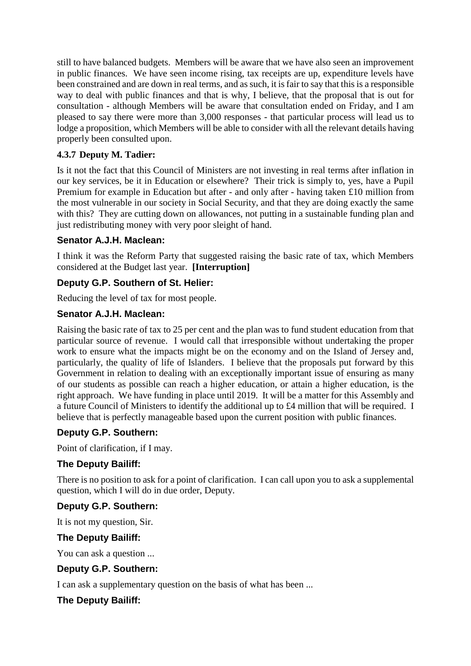still to have balanced budgets. Members will be aware that we have also seen an improvement in public finances. We have seen income rising, tax receipts are up, expenditure levels have been constrained and are down in real terms, and as such, it is fair to say that this is a responsible way to deal with public finances and that is why, I believe, that the proposal that is out for consultation - although Members will be aware that consultation ended on Friday, and I am pleased to say there were more than 3,000 responses - that particular process will lead us to lodge a proposition, which Members will be able to consider with all the relevant details having properly been consulted upon.

## **4.3.7 Deputy M. Tadier:**

Is it not the fact that this Council of Ministers are not investing in real terms after inflation in our key services, be it in Education or elsewhere? Their trick is simply to, yes, have a Pupil Premium for example in Education but after - and only after - having taken £10 million from the most vulnerable in our society in Social Security, and that they are doing exactly the same with this? They are cutting down on allowances, not putting in a sustainable funding plan and just redistributing money with very poor sleight of hand.

## **Senator A.J.H. Maclean:**

I think it was the Reform Party that suggested raising the basic rate of tax, which Members considered at the Budget last year. **[Interruption]**

# **Deputy G.P. Southern of St. Helier:**

Reducing the level of tax for most people.

# **Senator A.J.H. Maclean:**

Raising the basic rate of tax to 25 per cent and the plan was to fund student education from that particular source of revenue. I would call that irresponsible without undertaking the proper work to ensure what the impacts might be on the economy and on the Island of Jersey and, particularly, the quality of life of Islanders. I believe that the proposals put forward by this Government in relation to dealing with an exceptionally important issue of ensuring as many of our students as possible can reach a higher education, or attain a higher education, is the right approach. We have funding in place until 2019. It will be a matter for this Assembly and a future Council of Ministers to identify the additional up to £4 million that will be required. I believe that is perfectly manageable based upon the current position with public finances.

## **Deputy G.P. Southern:**

Point of clarification, if I may.

## **The Deputy Bailiff:**

There is no position to ask for a point of clarification. I can call upon you to ask a supplemental question, which I will do in due order, Deputy.

## **Deputy G.P. Southern:**

It is not my question, Sir.

## **The Deputy Bailiff:**

You can ask a question ...

## **Deputy G.P. Southern:**

I can ask a supplementary question on the basis of what has been ...

## **The Deputy Bailiff:**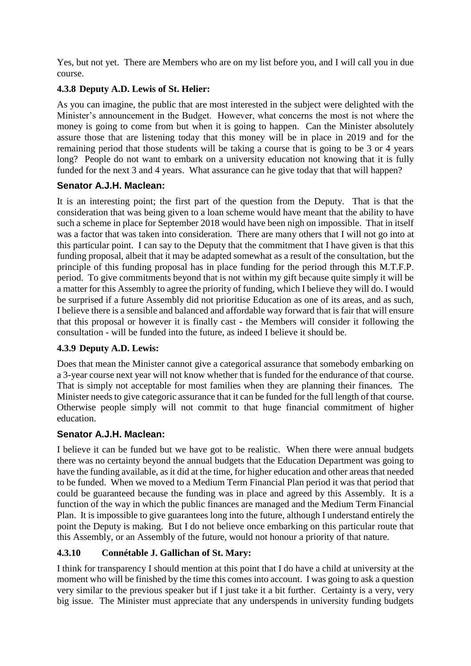Yes, but not yet. There are Members who are on my list before you, and I will call you in due course.

## **4.3.8 Deputy A.D. Lewis of St. Helier:**

As you can imagine, the public that are most interested in the subject were delighted with the Minister's announcement in the Budget. However, what concerns the most is not where the money is going to come from but when it is going to happen. Can the Minister absolutely assure those that are listening today that this money will be in place in 2019 and for the remaining period that those students will be taking a course that is going to be 3 or 4 years long? People do not want to embark on a university education not knowing that it is fully funded for the next 3 and 4 years. What assurance can he give today that that will happen?

#### **Senator A.J.H. Maclean:**

It is an interesting point; the first part of the question from the Deputy. That is that the consideration that was being given to a loan scheme would have meant that the ability to have such a scheme in place for September 2018 would have been nigh on impossible. That in itself was a factor that was taken into consideration. There are many others that I will not go into at this particular point. I can say to the Deputy that the commitment that I have given is that this funding proposal, albeit that it may be adapted somewhat as a result of the consultation, but the principle of this funding proposal has in place funding for the period through this M.T.F.P. period. To give commitments beyond that is not within my gift because quite simply it will be a matter for this Assembly to agree the priority of funding, which I believe they will do. I would be surprised if a future Assembly did not prioritise Education as one of its areas, and as such, I believe there is a sensible and balanced and affordable way forward that is fair that will ensure that this proposal or however it is finally cast - the Members will consider it following the consultation - will be funded into the future, as indeed I believe it should be.

## **4.3.9 Deputy A.D. Lewis:**

Does that mean the Minister cannot give a categorical assurance that somebody embarking on a 3-year course next year will not know whether that is funded for the endurance of that course. That is simply not acceptable for most families when they are planning their finances. The Minister needs to give categoric assurance that it can be funded for the full length of that course. Otherwise people simply will not commit to that huge financial commitment of higher education.

## **Senator A.J.H. Maclean:**

I believe it can be funded but we have got to be realistic. When there were annual budgets there was no certainty beyond the annual budgets that the Education Department was going to have the funding available, as it did at the time, for higher education and other areas that needed to be funded. When we moved to a Medium Term Financial Plan period it was that period that could be guaranteed because the funding was in place and agreed by this Assembly. It is a function of the way in which the public finances are managed and the Medium Term Financial Plan. It is impossible to give guarantees long into the future, although I understand entirely the point the Deputy is making. But I do not believe once embarking on this particular route that this Assembly, or an Assembly of the future, would not honour a priority of that nature.

## **4.3.10 Connétable J. Gallichan of St. Mary:**

I think for transparency I should mention at this point that I do have a child at university at the moment who will be finished by the time this comes into account. I was going to ask a question very similar to the previous speaker but if I just take it a bit further. Certainty is a very, very big issue. The Minister must appreciate that any underspends in university funding budgets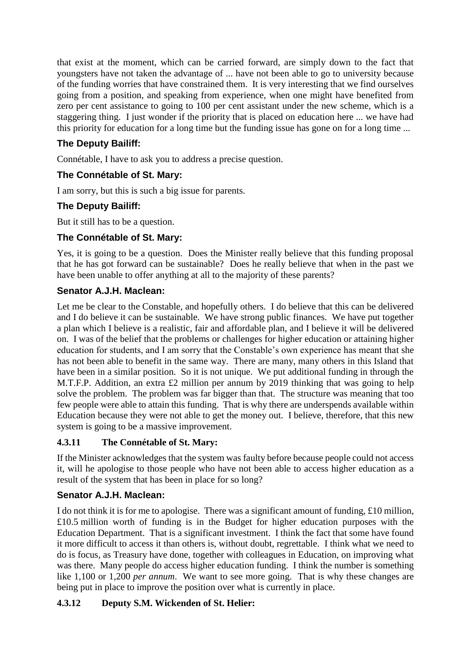that exist at the moment, which can be carried forward, are simply down to the fact that youngsters have not taken the advantage of ... have not been able to go to university because of the funding worries that have constrained them. It is very interesting that we find ourselves going from a position, and speaking from experience, when one might have benefited from zero per cent assistance to going to 100 per cent assistant under the new scheme, which is a staggering thing. I just wonder if the priority that is placed on education here ... we have had this priority for education for a long time but the funding issue has gone on for a long time ...

# **The Deputy Bailiff:**

Connétable, I have to ask you to address a precise question.

## **The Connétable of St. Mary:**

I am sorry, but this is such a big issue for parents.

## **The Deputy Bailiff:**

But it still has to be a question.

#### **The Connétable of St. Mary:**

Yes, it is going to be a question. Does the Minister really believe that this funding proposal that he has got forward can be sustainable? Does he really believe that when in the past we have been unable to offer anything at all to the majority of these parents?

#### **Senator A.J.H. Maclean:**

Let me be clear to the Constable, and hopefully others. I do believe that this can be delivered and I do believe it can be sustainable. We have strong public finances. We have put together a plan which I believe is a realistic, fair and affordable plan, and I believe it will be delivered on. I was of the belief that the problems or challenges for higher education or attaining higher education for students, and I am sorry that the Constable's own experience has meant that she has not been able to benefit in the same way. There are many, many others in this Island that have been in a similar position. So it is not unique. We put additional funding in through the M.T.F.P. Addition, an extra £2 million per annum by 2019 thinking that was going to help solve the problem. The problem was far bigger than that. The structure was meaning that too few people were able to attain this funding. That is why there are underspends available within Education because they were not able to get the money out. I believe, therefore, that this new system is going to be a massive improvement.

## **4.3.11 The Connétable of St. Mary:**

If the Minister acknowledges that the system was faulty before because people could not access it, will he apologise to those people who have not been able to access higher education as a result of the system that has been in place for so long?

## **Senator A.J.H. Maclean:**

I do not think it is for me to apologise. There was a significant amount of funding, £10 million, £10.5 million worth of funding is in the Budget for higher education purposes with the Education Department. That is a significant investment. I think the fact that some have found it more difficult to access it than others is, without doubt, regrettable. I think what we need to do is focus, as Treasury have done, together with colleagues in Education, on improving what was there. Many people do access higher education funding. I think the number is something like 1,100 or 1,200 *per annum*. We want to see more going. That is why these changes are being put in place to improve the position over what is currently in place.

## **4.3.12 Deputy S.M. Wickenden of St. Helier:**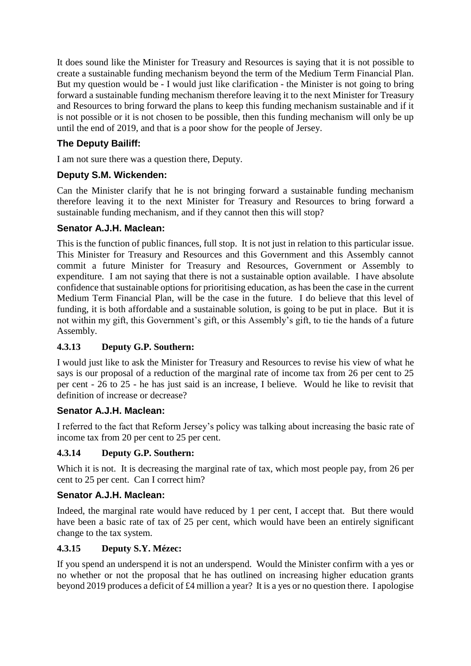It does sound like the Minister for Treasury and Resources is saying that it is not possible to create a sustainable funding mechanism beyond the term of the Medium Term Financial Plan. But my question would be - I would just like clarification - the Minister is not going to bring forward a sustainable funding mechanism therefore leaving it to the next Minister for Treasury and Resources to bring forward the plans to keep this funding mechanism sustainable and if it is not possible or it is not chosen to be possible, then this funding mechanism will only be up until the end of 2019, and that is a poor show for the people of Jersey.

# **The Deputy Bailiff:**

I am not sure there was a question there, Deputy.

#### **Deputy S.M. Wickenden:**

Can the Minister clarify that he is not bringing forward a sustainable funding mechanism therefore leaving it to the next Minister for Treasury and Resources to bring forward a sustainable funding mechanism, and if they cannot then this will stop?

#### **Senator A.J.H. Maclean:**

This is the function of public finances, full stop. It is not just in relation to this particular issue. This Minister for Treasury and Resources and this Government and this Assembly cannot commit a future Minister for Treasury and Resources, Government or Assembly to expenditure. I am not saying that there is not a sustainable option available. I have absolute confidence that sustainable options for prioritising education, as has been the case in the current Medium Term Financial Plan, will be the case in the future. I do believe that this level of funding, it is both affordable and a sustainable solution, is going to be put in place. But it is not within my gift, this Government's gift, or this Assembly's gift, to tie the hands of a future Assembly.

## **4.3.13 Deputy G.P. Southern:**

I would just like to ask the Minister for Treasury and Resources to revise his view of what he says is our proposal of a reduction of the marginal rate of income tax from 26 per cent to 25 per cent - 26 to 25 - he has just said is an increase, I believe. Would he like to revisit that definition of increase or decrease?

#### **Senator A.J.H. Maclean:**

I referred to the fact that Reform Jersey's policy was talking about increasing the basic rate of income tax from 20 per cent to 25 per cent.

#### **4.3.14 Deputy G.P. Southern:**

Which it is not. It is decreasing the marginal rate of tax, which most people pay, from 26 per cent to 25 per cent. Can I correct him?

#### **Senator A.J.H. Maclean:**

Indeed, the marginal rate would have reduced by 1 per cent, I accept that. But there would have been a basic rate of tax of 25 per cent, which would have been an entirely significant change to the tax system.

#### **4.3.15 Deputy S.Y. Mézec:**

If you spend an underspend it is not an underspend. Would the Minister confirm with a yes or no whether or not the proposal that he has outlined on increasing higher education grants beyond 2019 produces a deficit of £4 million a year? It is a yes or no question there. I apologise